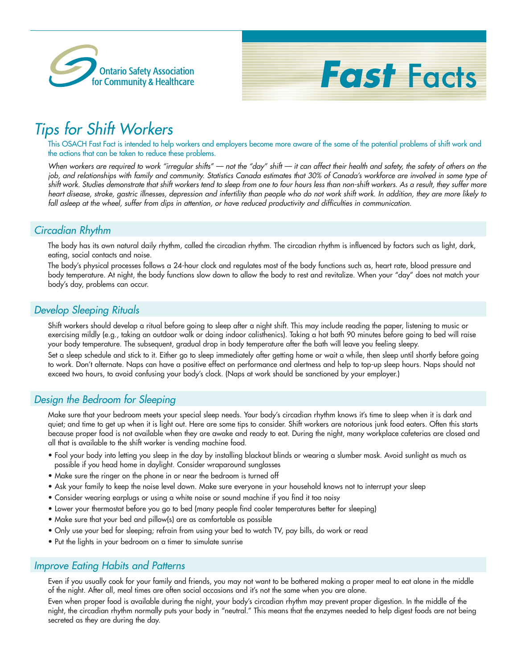



# *Tips for Shift Workers*

This OSACH Fast Fact is intended to help workers and employers become more aware of the some of the potential problems of shift work and the actions that can be taken to reduce these problems.

*When workers are required to work "irregular shifts" — not the "day" shift — it can affect their health and safety, the safety of others on the job, and relationships with family and community. Statistics Canada estimates that 30% of Canada's workforce are involved in some type of shift work. Studies demonstrate that shift workers tend to sleep from one to four hours less than non-shift workers. As a result, they suffer more heart disease, stroke, gastric illnesses, depression and infertility than people who do not work shift work. In addition, they are more likely to fall asleep at the wheel, suffer from dips in attention, or have reduced productivity and difficulties in communication.*

# *Circadian Rhythm*

The body has its own natural daily rhythm, called the circadian rhythm. The circadian rhythm is influenced by factors such as light, dark, eating, social contacts and noise.

The body's physical processes follows a 24-hour clock and regulates most of the body functions such as, heart rate, blood pressure and body temperature. At night, the body functions slow down to allow the body to rest and revitalize. When your "day" does not match your body's day, problems can occur.

#### *Develop Sleeping Rituals*

Shift workers should develop a ritual before going to sleep after a night shift. This may include reading the paper, listening to music or exercising mildly (e.g., taking an outdoor walk or doing indoor calisthenics). Taking a hot bath 90 minutes before going to bed will raise your body temperature. The subsequent, gradual drop in body temperature after the bath will leave you feeling sleepy.

Set a sleep schedule and stick to it. Either go to sleep immediately after getting home or wait a while, then sleep until shortly before going to work. Don't alternate. Naps can have a positive effect on performance and alertness and help to top-up sleep hours. Naps should not exceed two hours, to avoid confusing your body's clock. (Naps at work should be sanctioned by your employer.)

# *Design the Bedroom for Sleeping*

Make sure that your bedroom meets your special sleep needs. Your body's circadian rhythm knows it's time to sleep when it is dark and quiet; and time to get up when it is light out. Here are some tips to consider. Shift workers are notorious junk food eaters. Often this starts because proper food is not available when they are awake and ready to eat. During the night, many workplace cafeterias are closed and all that is available to the shift worker is vending machine food.

- Fool your body into letting you sleep in the day by installing blackout blinds or wearing a slumber mask. Avoid sunlight as much as possible if you head home in daylight. Consider wraparound sunglasses
- Make sure the ringer on the phone in or near the bedroom is turned off
- Ask your family to keep the noise level down. Make sure everyone in your household knows not to interrupt your sleep
- Consider wearing earplugs or using a white noise or sound machine if you find it too noisy
- Lower your thermostat before you go to bed (many people find cooler temperatures better for sleeping)
- Make sure that your bed and pillow(s) are as comfortable as possible
- Only use your bed for sleeping; refrain from using your bed to watch TV, pay bills, do work or read
- Put the lights in your bedroom on a timer to simulate sunrise

#### *Improve Eating Habits and Patterns*

Even if you usually cook for your family and friends, you may not want to be bothered making a proper meal to eat alone in the middle of the night. After all, meal times are often social occasions and it's not the same when you are alone.

Even when proper food is available during the night, your body's circadian rhythm may prevent proper digestion. In the middle of the night, the circadian rhythm normally puts your body in "neutral." This means that the enzymes needed to help digest foods are not being secreted as they are during the day.